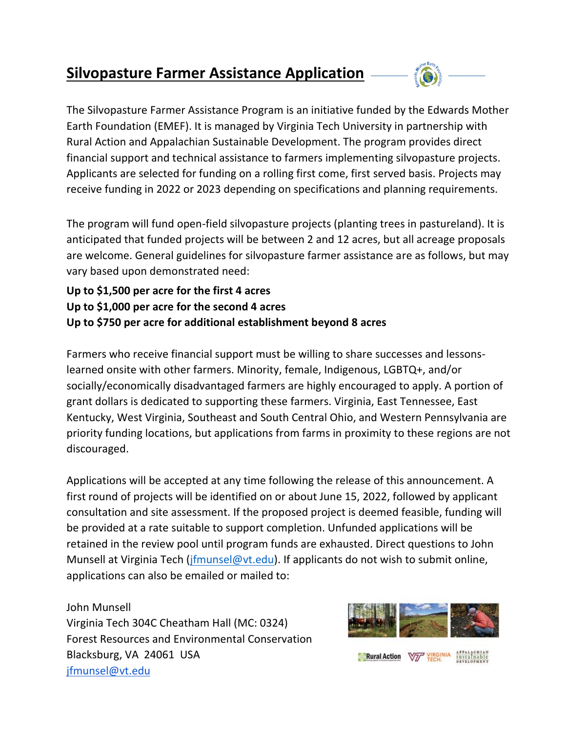## **Silvopasture Farmer Assistance Application**



The Silvopasture Farmer Assistance Program is an initiative funded by the Edwards Mother Earth Foundation (EMEF). It is managed by Virginia Tech University in partnership with Rural Action and Appalachian Sustainable Development. The program provides direct financial support and technical assistance to farmers implementing silvopasture projects. Applicants are selected for funding on a rolling first come, first served basis. Projects may receive funding in 2022 or 2023 depending on specifications and planning requirements.

The program will fund open-field silvopasture projects (planting trees in pastureland). It is anticipated that funded projects will be between 2 and 12 acres, but all acreage proposals are welcome. General guidelines for silvopasture farmer assistance are as follows, but may vary based upon demonstrated need:

**Up to \$1,500 per acre for the first 4 acres Up to \$1,000 per acre for the second 4 acres Up to \$750 per acre for additional establishment beyond 8 acres** 

Farmers who receive financial support must be willing to share successes and lessonslearned onsite with other farmers. Minority, female, Indigenous, LGBTQ+, and/or socially/economically disadvantaged farmers are highly encouraged to apply. A portion of grant dollars is dedicated to supporting these farmers. Virginia, East Tennessee, East Kentucky, West Virginia, Southeast and South Central Ohio, and Western Pennsylvania are priority funding locations, but applications from farms in proximity to these regions are not discouraged.

Applications will be accepted at any time following the release of this announcement. A first round of projects will be identified on or about June 15, 2022, followed by applicant consultation and site assessment. If the proposed project is deemed feasible, funding will be provided at a rate suitable to support completion. Unfunded applications will be retained in the review pool until program funds are exhausted. Direct questions to John Munsell at Virginia Tech [\(jfmunsel@vt.edu\)](mailto:jfmunsel@vt.edu). If applicants do not wish to submit online, applications can also be emailed or mailed to:

John Munsell Virginia Tech 304C Cheatham Hall (MC: 0324) Forest Resources and Environmental Conservation Blacksburg, VA 24061 USA [jfmunsel@vt.edu](mailto:jfmunsel@vt.edu)



**Rural Action Way VIRGINIA Sustainable**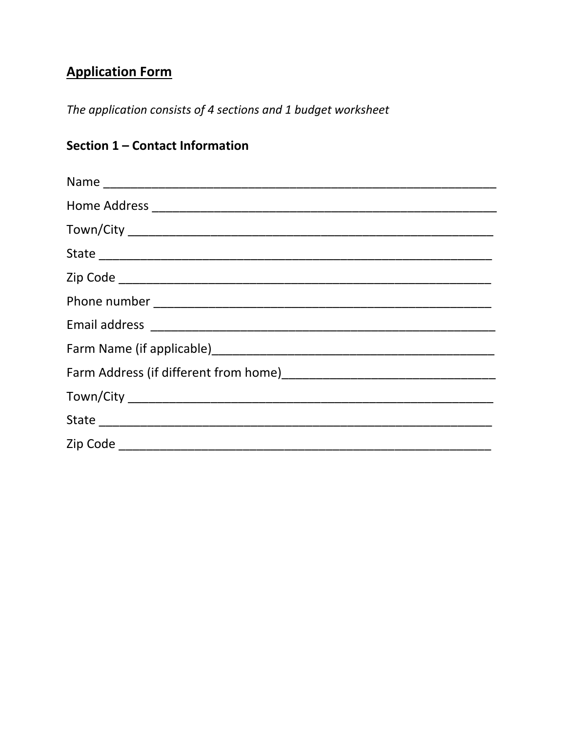# **Application Form**

The application consists of 4 sections and 1 budget worksheet

## Section 1 - Contact Information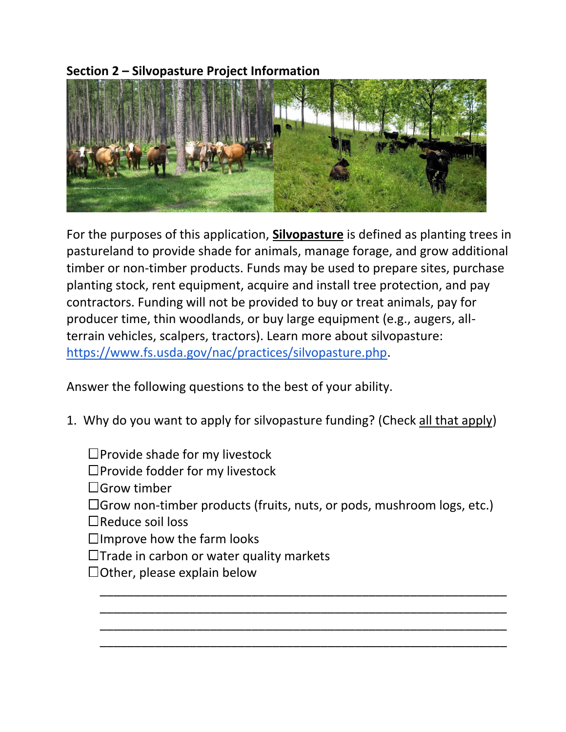**Section 2 – Silvopasture Project Information** 



For the purposes of this application, **Silvopasture** is defined as planting trees in pastureland to provide shade for animals, manage forage, and grow additional timber or non-timber products. Funds may be used to prepare sites, purchase planting stock, rent equipment, acquire and install tree protection, and pay contractors. Funding will not be provided to buy or treat animals, pay for producer time, thin woodlands, or buy large equipment (e.g., augers, allterrain vehicles, scalpers, tractors). Learn more about silvopasture: [https://www.fs.usda.gov/nac/practices/silvopasture.php.](https://www.fs.usda.gov/nac/practices/silvopasture.php)

Answer the following questions to the best of your ability.

- 1. Why do you want to apply for silvopasture funding? (Check all that apply)
	- $\square$ Provide shade for my livestock
	- $\square$ Provide fodder for my livestock
	- $\Box$ Grow timber
	- Grow non-timber products (fruits, nuts, or pods, mushroom logs, etc.)

\_\_\_\_\_\_\_\_\_\_\_\_\_\_\_\_\_\_\_\_\_\_\_\_\_\_\_\_\_\_\_\_\_\_\_\_\_\_\_\_\_\_\_\_\_\_\_\_\_\_\_\_\_\_\_\_\_\_\_ \_\_\_\_\_\_\_\_\_\_\_\_\_\_\_\_\_\_\_\_\_\_\_\_\_\_\_\_\_\_\_\_\_\_\_\_\_\_\_\_\_\_\_\_\_\_\_\_\_\_\_\_\_\_\_\_\_\_\_ \_\_\_\_\_\_\_\_\_\_\_\_\_\_\_\_\_\_\_\_\_\_\_\_\_\_\_\_\_\_\_\_\_\_\_\_\_\_\_\_\_\_\_\_\_\_\_\_\_\_\_\_\_\_\_\_\_\_\_ \_\_\_\_\_\_\_\_\_\_\_\_\_\_\_\_\_\_\_\_\_\_\_\_\_\_\_\_\_\_\_\_\_\_\_\_\_\_\_\_\_\_\_\_\_\_\_\_\_\_\_\_\_\_\_\_\_\_\_

- Reduce soil loss
- $\Box$ Improve how the farm looks
- $\Box$ Trade in carbon or water quality markets
- $\Box$ Other, please explain below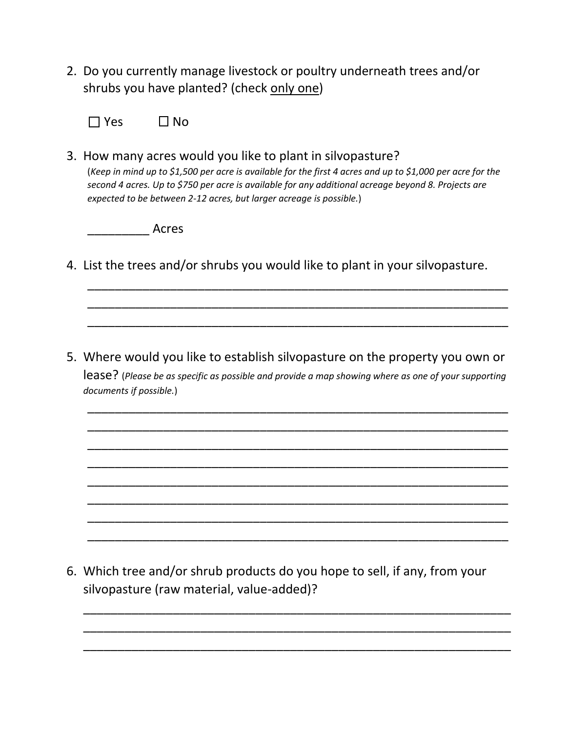2. Do you currently manage livestock or poultry underneath trees and/or shrubs you have planted? (check only one)

 $\Box$  Yes  $\Box$  No

3. How many acres would you like to plant in silvopasture? (*Keep in mind up to \$1,500 per acre is available for the first 4 acres and up to \$1,000 per acre for the second 4 acres. Up to \$750 per acre is available for any additional acreage beyond 8. Projects are expected to be between 2-12 acres, but larger acreage is possible.*)

\_\_\_\_\_\_\_\_\_ Acres

4. List the trees and/or shrubs you would like to plant in your silvopasture.

\_\_\_\_\_\_\_\_\_\_\_\_\_\_\_\_\_\_\_\_\_\_\_\_\_\_\_\_\_\_\_\_\_\_\_\_\_\_\_\_\_\_\_\_\_\_\_\_\_\_\_\_\_\_\_\_\_\_\_\_\_ \_\_\_\_\_\_\_\_\_\_\_\_\_\_\_\_\_\_\_\_\_\_\_\_\_\_\_\_\_\_\_\_\_\_\_\_\_\_\_\_\_\_\_\_\_\_\_\_\_\_\_\_\_\_\_\_\_\_\_\_\_ \_\_\_\_\_\_\_\_\_\_\_\_\_\_\_\_\_\_\_\_\_\_\_\_\_\_\_\_\_\_\_\_\_\_\_\_\_\_\_\_\_\_\_\_\_\_\_\_\_\_\_\_\_\_\_\_\_\_\_\_\_

5. Where would you like to establish silvopasture on the property you own or lease? (*Please be as specific as possible and provide a map showing where as one of your supporting documents if possible.*)

\_\_\_\_\_\_\_\_\_\_\_\_\_\_\_\_\_\_\_\_\_\_\_\_\_\_\_\_\_\_\_\_\_\_\_\_\_\_\_\_\_\_\_\_\_\_\_\_\_\_\_\_\_\_\_\_\_\_\_\_\_ \_\_\_\_\_\_\_\_\_\_\_\_\_\_\_\_\_\_\_\_\_\_\_\_\_\_\_\_\_\_\_\_\_\_\_\_\_\_\_\_\_\_\_\_\_\_\_\_\_\_\_\_\_\_\_\_\_\_\_\_\_ \_\_\_\_\_\_\_\_\_\_\_\_\_\_\_\_\_\_\_\_\_\_\_\_\_\_\_\_\_\_\_\_\_\_\_\_\_\_\_\_\_\_\_\_\_\_\_\_\_\_\_\_\_\_\_\_\_\_\_\_\_ \_\_\_\_\_\_\_\_\_\_\_\_\_\_\_\_\_\_\_\_\_\_\_\_\_\_\_\_\_\_\_\_\_\_\_\_\_\_\_\_\_\_\_\_\_\_\_\_\_\_\_\_\_\_\_\_\_\_\_\_\_ \_\_\_\_\_\_\_\_\_\_\_\_\_\_\_\_\_\_\_\_\_\_\_\_\_\_\_\_\_\_\_\_\_\_\_\_\_\_\_\_\_\_\_\_\_\_\_\_\_\_\_\_\_\_\_\_\_\_\_\_\_ \_\_\_\_\_\_\_\_\_\_\_\_\_\_\_\_\_\_\_\_\_\_\_\_\_\_\_\_\_\_\_\_\_\_\_\_\_\_\_\_\_\_\_\_\_\_\_\_\_\_\_\_\_\_\_\_\_\_\_\_\_ \_\_\_\_\_\_\_\_\_\_\_\_\_\_\_\_\_\_\_\_\_\_\_\_\_\_\_\_\_\_\_\_\_\_\_\_\_\_\_\_\_\_\_\_\_\_\_\_\_\_\_\_\_\_\_\_\_\_\_\_\_ \_\_\_\_\_\_\_\_\_\_\_\_\_\_\_\_\_\_\_\_\_\_\_\_\_\_\_\_\_\_\_\_\_\_\_\_\_\_\_\_\_\_\_\_\_\_\_\_\_\_\_\_\_\_\_\_\_\_\_\_\_

6. Which tree and/or shrub products do you hope to sell, if any, from your silvopasture (raw material, value-added)?

\_\_\_\_\_\_\_\_\_\_\_\_\_\_\_\_\_\_\_\_\_\_\_\_\_\_\_\_\_\_\_\_\_\_\_\_\_\_\_\_\_\_\_\_\_\_\_\_\_\_\_\_\_\_\_\_\_\_\_\_\_\_ \_\_\_\_\_\_\_\_\_\_\_\_\_\_\_\_\_\_\_\_\_\_\_\_\_\_\_\_\_\_\_\_\_\_\_\_\_\_\_\_\_\_\_\_\_\_\_\_\_\_\_\_\_\_\_\_\_\_\_\_\_\_ \_\_\_\_\_\_\_\_\_\_\_\_\_\_\_\_\_\_\_\_\_\_\_\_\_\_\_\_\_\_\_\_\_\_\_\_\_\_\_\_\_\_\_\_\_\_\_\_\_\_\_\_\_\_\_\_\_\_\_\_\_\_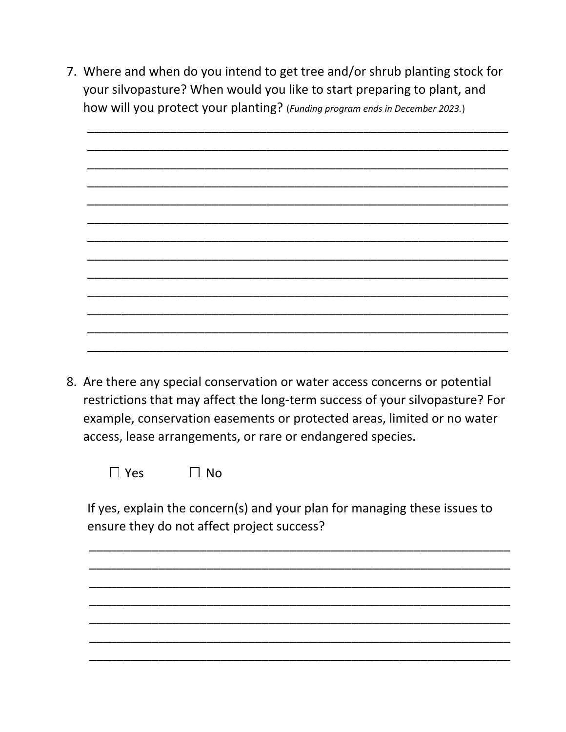7. Where and when do you intend to get tree and/or shrub planting stock for your silvopasture? When would you like to start preparing to plant, and how will you protect your planting? (Funding program ends in December 2023.)



8. Are there any special conservation or water access concerns or potential restrictions that may affect the long-term success of your silvopasture? For example, conservation easements or protected areas, limited or no water access, lease arrangements, or rare or endangered species.

 $\Box$  Yes  $\Box$  No

If yes, explain the concern(s) and your plan for managing these issues to ensure they do not affect project success?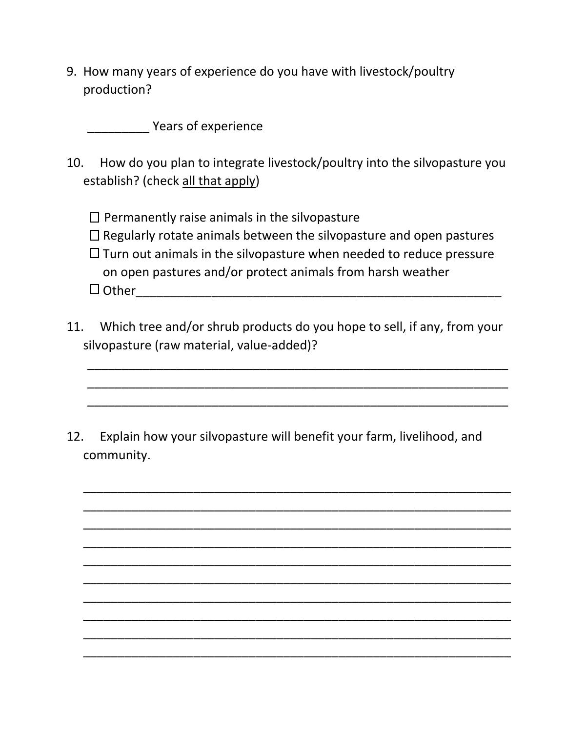9. How many years of experience do you have with livestock/poultry production?

Years of experience

- 10. How do you plan to integrate livestock/poultry into the silvopasture you establish? (check all that apply)
	- $\square$  Permanently raise animals in the silvopasture
	- $\Box$  Regularly rotate animals between the silvopasture and open pastures
	- $\Box$  Turn out animals in the silvopasture when needed to reduce pressure on open pastures and/or protect animals from harsh weather  $\Box$  Other
- 11. Which tree and/or shrub products do you hope to sell, if any, from your silvopasture (raw material, value-added)?

\_\_\_\_\_\_\_\_\_\_\_\_\_\_\_\_\_\_\_\_\_\_\_\_\_\_\_\_\_\_\_\_\_\_\_\_\_\_\_\_\_\_\_\_\_\_\_\_\_\_\_\_\_\_\_\_\_\_\_\_\_ \_\_\_\_\_\_\_\_\_\_\_\_\_\_\_\_\_\_\_\_\_\_\_\_\_\_\_\_\_\_\_\_\_\_\_\_\_\_\_\_\_\_\_\_\_\_\_\_\_\_\_\_\_\_\_\_\_\_\_\_\_ \_\_\_\_\_\_\_\_\_\_\_\_\_\_\_\_\_\_\_\_\_\_\_\_\_\_\_\_\_\_\_\_\_\_\_\_\_\_\_\_\_\_\_\_\_\_\_\_\_\_\_\_\_\_\_\_\_\_\_\_\_

\_\_\_\_\_\_\_\_\_\_\_\_\_\_\_\_\_\_\_\_\_\_\_\_\_\_\_\_\_\_\_\_\_\_\_\_\_\_\_\_\_\_\_\_\_\_\_\_\_\_\_\_\_\_\_\_\_\_\_\_\_\_ \_\_\_\_\_\_\_\_\_\_\_\_\_\_\_\_\_\_\_\_\_\_\_\_\_\_\_\_\_\_\_\_\_\_\_\_\_\_\_\_\_\_\_\_\_\_\_\_\_\_\_\_\_\_\_\_\_\_\_\_\_\_ \_\_\_\_\_\_\_\_\_\_\_\_\_\_\_\_\_\_\_\_\_\_\_\_\_\_\_\_\_\_\_\_\_\_\_\_\_\_\_\_\_\_\_\_\_\_\_\_\_\_\_\_\_\_\_\_\_\_\_\_\_\_ \_\_\_\_\_\_\_\_\_\_\_\_\_\_\_\_\_\_\_\_\_\_\_\_\_\_\_\_\_\_\_\_\_\_\_\_\_\_\_\_\_\_\_\_\_\_\_\_\_\_\_\_\_\_\_\_\_\_\_\_\_\_ \_\_\_\_\_\_\_\_\_\_\_\_\_\_\_\_\_\_\_\_\_\_\_\_\_\_\_\_\_\_\_\_\_\_\_\_\_\_\_\_\_\_\_\_\_\_\_\_\_\_\_\_\_\_\_\_\_\_\_\_\_\_ \_\_\_\_\_\_\_\_\_\_\_\_\_\_\_\_\_\_\_\_\_\_\_\_\_\_\_\_\_\_\_\_\_\_\_\_\_\_\_\_\_\_\_\_\_\_\_\_\_\_\_\_\_\_\_\_\_\_\_\_\_\_ \_\_\_\_\_\_\_\_\_\_\_\_\_\_\_\_\_\_\_\_\_\_\_\_\_\_\_\_\_\_\_\_\_\_\_\_\_\_\_\_\_\_\_\_\_\_\_\_\_\_\_\_\_\_\_\_\_\_\_\_\_\_ \_\_\_\_\_\_\_\_\_\_\_\_\_\_\_\_\_\_\_\_\_\_\_\_\_\_\_\_\_\_\_\_\_\_\_\_\_\_\_\_\_\_\_\_\_\_\_\_\_\_\_\_\_\_\_\_\_\_\_\_\_\_ \_\_\_\_\_\_\_\_\_\_\_\_\_\_\_\_\_\_\_\_\_\_\_\_\_\_\_\_\_\_\_\_\_\_\_\_\_\_\_\_\_\_\_\_\_\_\_\_\_\_\_\_\_\_\_\_\_\_\_\_\_\_ \_\_\_\_\_\_\_\_\_\_\_\_\_\_\_\_\_\_\_\_\_\_\_\_\_\_\_\_\_\_\_\_\_\_\_\_\_\_\_\_\_\_\_\_\_\_\_\_\_\_\_\_\_\_\_\_\_\_\_\_\_\_

12. Explain how your silvopasture will benefit your farm, livelihood, and community.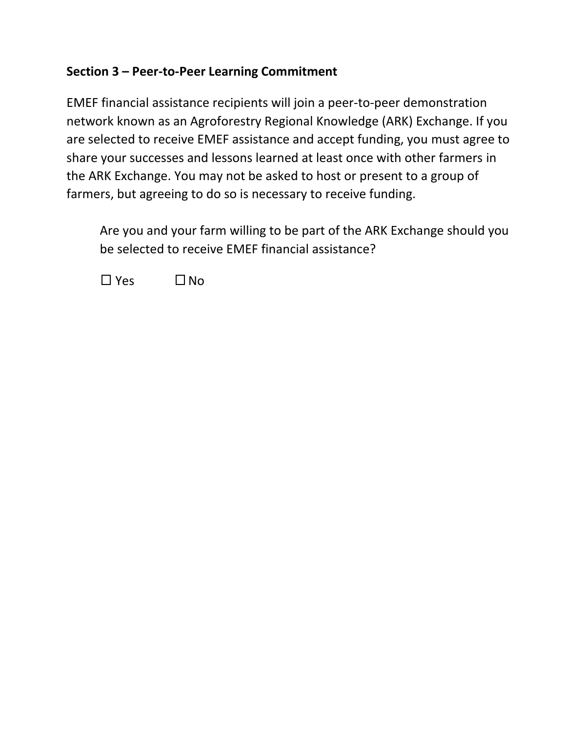### **Section 3 – Peer-to-Peer Learning Commitment**

EMEF financial assistance recipients will join a peer-to-peer demonstration network known as an Agroforestry Regional Knowledge (ARK) Exchange. If you are selected to receive EMEF assistance and accept funding, you must agree to share your successes and lessons learned at least once with other farmers in the ARK Exchange. You may not be asked to host or present to a group of farmers, but agreeing to do so is necessary to receive funding.

Are you and your farm willing to be part of the ARK Exchange should you be selected to receive EMEF financial assistance?

 $\Box$  Yes  $\Box$  No.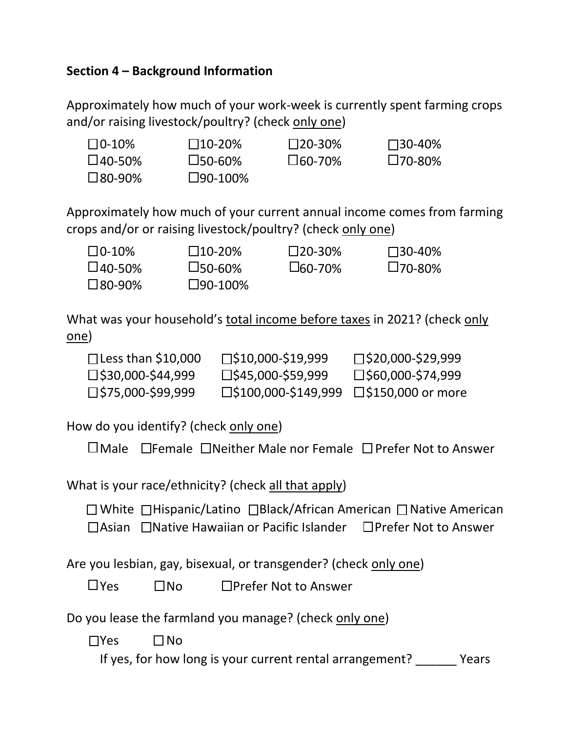#### **Section 4 – Background Information**

Approximately how much of your work-week is currently spent farming crops and/or raising livestock/poultry? (check only one)

| $\square$ 0-10%  | $\square$ 10-20%  | $\square$ 20-30% | $\square$ 30-40% |
|------------------|-------------------|------------------|------------------|
| $\square$ 40-50% | $\square$ 50-60%  | $\square$ 60-70% | $\square$ 70-80% |
| $\square$ 80-90% | $\square$ 90-100% |                  |                  |

Approximately how much of your current annual income comes from farming crops and/or or raising livestock/poultry? (check only one)

| $\square$ 0-10%  | $\square$ 10-20%  | $\square$ 20-30% | $\square$ 30-40% |
|------------------|-------------------|------------------|------------------|
| $\square$ 40-50% | $\square$ 50-60%  | $L$ 60-70%       | $\square$ 70-80% |
| $\square$ 80-90% | $\square$ 90-100% |                  |                  |

What was your household's total income before taxes in 2021? (check only one)

| $\Box$ Less than \$10,000   | $\square$ \$10,000-\$19,999             | $\square$ \$20,000-\$29,999 |
|-----------------------------|-----------------------------------------|-----------------------------|
| $\square$ \$30,000-\$44,999 | $\square$ \$45,000-\$59,999             | $\square$ \$60,000-\$74,999 |
| $\square$ \$75,000-\$99,999 | □\$100,000-\$149,999 □\$150,000 or more |                             |

How do you identify? (check only one)

| $\square$ Male $\;\;\square$ Female $\;\square$ Neither Male nor Female $\;\square$ Prefer Not to Answer |
|----------------------------------------------------------------------------------------------------------|
|----------------------------------------------------------------------------------------------------------|

What is your race/ethnicity? (check all that apply)

 $\Box$  White  $\Box$ Hispanic/Latino  $\Box$ Black/African American  $\Box$  Native American

 $\Box$ Asian  $\Box$ Native Hawaiian or Pacific Islander  $\Box$ Prefer Not to Answer

Are you lesbian, gay, bisexual, or transgender? (check only one)

 $\Box$ Yes  $\Box$ No  $\Box$ Prefer Not to Answer

Do you lease the farmland you manage? (check only one)

 $\Box$ Yes  $\Box$  No

If yes, for how long is your current rental arrangement? \_\_\_\_\_\_ Years